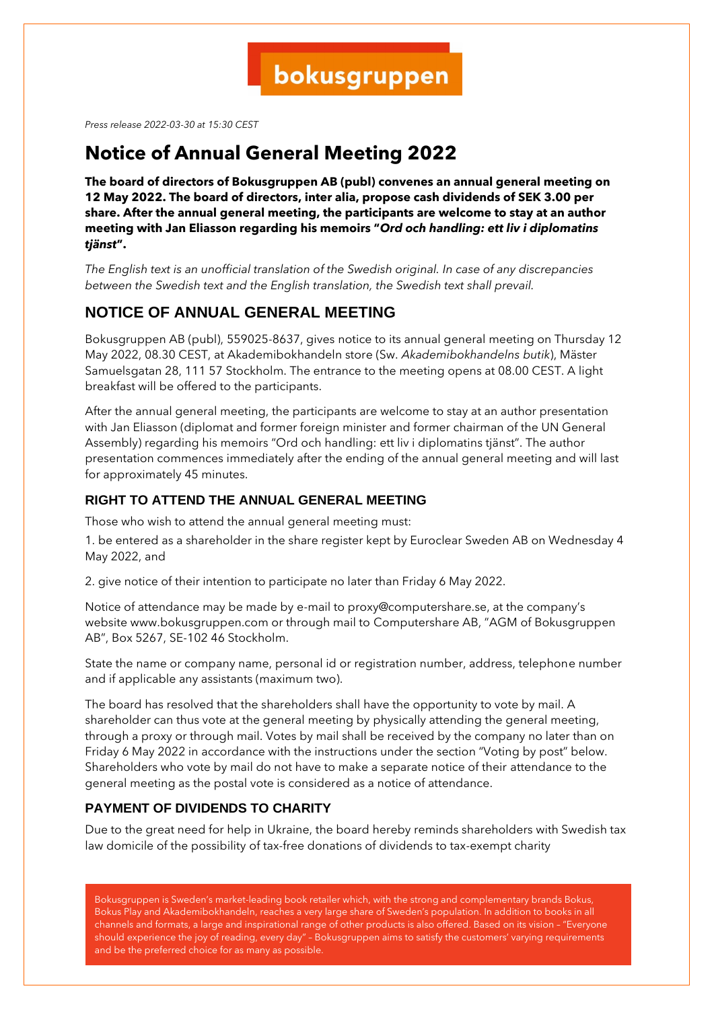*Press release 2022-03-30 at 15:30 CEST*

## **Notice of Annual General Meeting 2022**

**The board of directors of Bokusgruppen AB (publ) convenes an annual general meeting on 12 May 2022. The board of directors, inter alia, propose cash dividends of SEK 3.00 per share. After the annual general meeting, the participants are welcome to stay at an author meeting with Jan Eliasson regarding his memoirs "***Ord och handling: ett liv i diplomatins tjänst***".**

*The English text is an unofficial translation of the Swedish original. In case of any discrepancies between the Swedish text and the English translation, the Swedish text shall prevail.*

## **NOTICE OF ANNUAL GENERAL MEETING**

Bokusgruppen AB (publ), 559025-8637, gives notice to its annual general meeting on Thursday 12 May 2022, 08.30 CEST, at Akademibokhandeln store (Sw. *Akademibokhandelns butik*), Mäster Samuelsgatan 28, 111 57 Stockholm. The entrance to the meeting opens at 08.00 CEST. A light breakfast will be offered to the participants.

After the annual general meeting, the participants are welcome to stay at an author presentation with Jan Eliasson (diplomat and former foreign minister and former chairman of the UN General Assembly) regarding his memoirs "Ord och handling: ett liv i diplomatins tjänst". The author presentation commences immediately after the ending of the annual general meeting and will last for approximately 45 minutes.

## **RIGHT TO ATTEND THE ANNUAL GENERAL MEETING**

Those who wish to attend the annual general meeting must:

1. be entered as a shareholder in the share register kept by Euroclear Sweden AB on Wednesday 4 May 2022, and

2. give notice of their intention to participate no later than Friday 6 May 2022.

Notice of attendance may be made by e-mail to proxy@computershare.se, at the company's website www.bokusgruppen.com or through mail to Computershare AB, "AGM of Bokusgruppen AB", Box 5267, SE-102 46 Stockholm.

State the name or company name, personal id or registration number, address, telephone number and if applicable any assistants (maximum two).

The board has resolved that the shareholders shall have the opportunity to vote by mail. A shareholder can thus vote at the general meeting by physically attending the general meeting, through a proxy or through mail. Votes by mail shall be received by the company no later than on Friday 6 May 2022 in accordance with the instructions under the section "Voting by post" below. Shareholders who vote by mail do not have to make a separate notice of their attendance to the general meeting as the postal vote is considered as a notice of attendance.

## **PAYMENT OF DIVIDENDS TO CHARITY**

Due to the great need for help in Ukraine, the board hereby reminds shareholders with Swedish tax law domicile of the possibility of tax-free donations of dividends to tax-exempt charity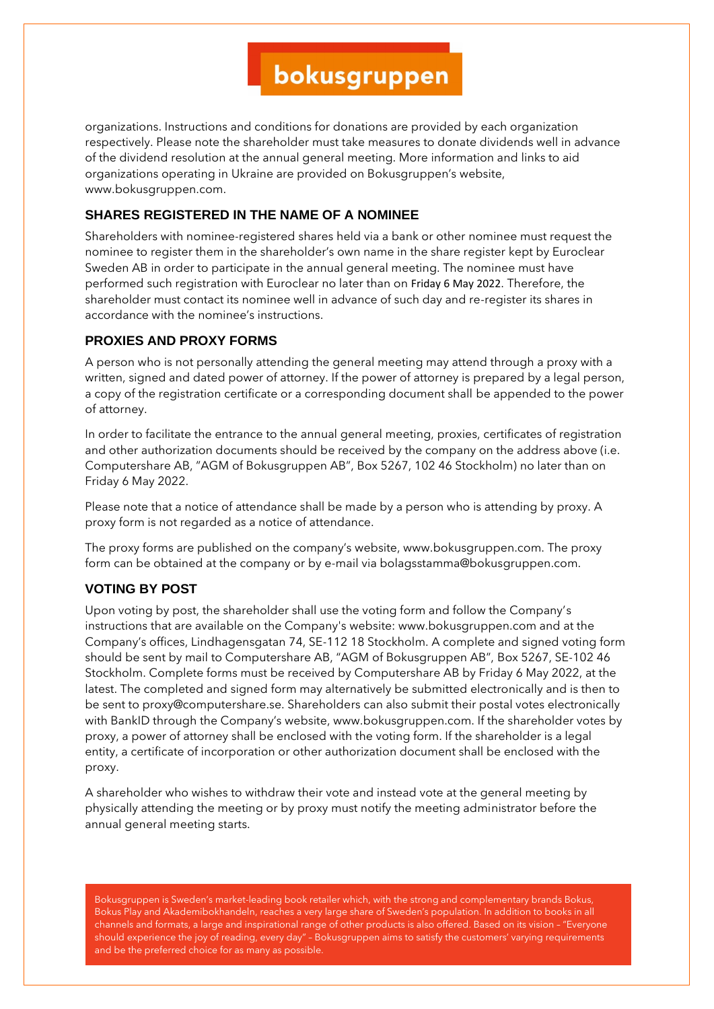organizations. Instructions and conditions for donations are provided by each organization respectively. Please note the shareholder must take measures to donate dividends well in advance of the dividend resolution at the annual general meeting. More information and links to aid organizations operating in Ukraine are provided on Bokusgruppen's website, www.bokusgruppen.com.

## **SHARES REGISTERED IN THE NAME OF A NOMINEE**

Shareholders with nominee-registered shares held via a bank or other nominee must request the nominee to register them in the shareholder's own name in the share register kept by Euroclear Sweden AB in order to participate in the annual general meeting. The nominee must have performed such registration with Euroclear no later than on Friday 6 May 2022. Therefore, the shareholder must contact its nominee well in advance of such day and re-register its shares in accordance with the nominee's instructions.

### **PROXIES AND PROXY FORMS**

A person who is not personally attending the general meeting may attend through a proxy with a written, signed and dated power of attorney. If the power of attorney is prepared by a legal person, a copy of the registration certificate or a corresponding document shall be appended to the power of attorney.

In order to facilitate the entrance to the annual general meeting, proxies, certificates of registration and other authorization documents should be received by the company on the address above (i.e. Computershare AB, "AGM of Bokusgruppen AB", Box 5267, 102 46 Stockholm) no later than on Friday 6 May 2022.

Please note that a notice of attendance shall be made by a person who is attending by proxy. A proxy form is not regarded as a notice of attendance.

The proxy forms are published on the company's website, www.bokusgruppen.com. The proxy form can be obtained at the company or by e-mail via bolagsstamma@bokusgruppen.com.

### **VOTING BY POST**

Upon voting by post, the shareholder shall use the voting form and follow the Company's instructions that are available on the Company's website: www.bokusgruppen.com and at the Company's offices, Lindhagensgatan 74, SE-112 18 Stockholm. A complete and signed voting form should be sent by mail to Computershare AB, "AGM of Bokusgruppen AB", Box 5267, SE-102 46 Stockholm. Complete forms must be received by Computershare AB by Friday 6 May 2022, at the latest. The completed and signed form may alternatively be submitted electronically and is then to be sent to proxy@computershare.se. Shareholders can also submit their postal votes electronically with BankID through the Company's website, www.bokusgruppen.com. If the shareholder votes by proxy, a power of attorney shall be enclosed with the voting form. If the shareholder is a legal entity, a certificate of incorporation or other authorization document shall be enclosed with the proxy.

A shareholder who wishes to withdraw their vote and instead vote at the general meeting by physically attending the meeting or by proxy must notify the meeting administrator before the annual general meeting starts.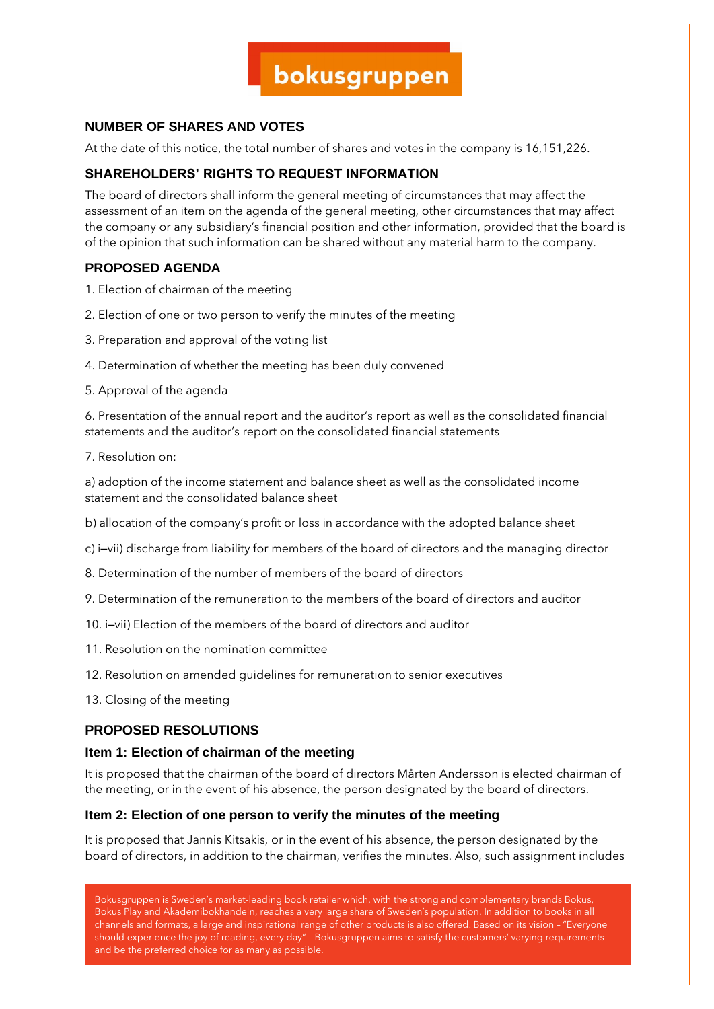## **NUMBER OF SHARES AND VOTES**

At the date of this notice, the total number of shares and votes in the company is 16,151,226.

## **SHAREHOLDERS' RIGHTS TO REQUEST INFORMATION**

The board of directors shall inform the general meeting of circumstances that may affect the assessment of an item on the agenda of the general meeting, other circumstances that may affect the company or any subsidiary's financial position and other information, provided that the board is of the opinion that such information can be shared without any material harm to the company.

### **PROPOSED AGENDA**

- 1. Election of chairman of the meeting
- 2. Election of one or two person to verify the minutes of the meeting
- 3. Preparation and approval of the voting list
- 4. Determination of whether the meeting has been duly convened
- 5. Approval of the agenda

6. Presentation of the annual report and the auditor's report as well as the consolidated financial statements and the auditor's report on the consolidated financial statements

7. Resolution on:

a) adoption of the income statement and balance sheet as well as the consolidated income statement and the consolidated balance sheet

- b) allocation of the company's profit or loss in accordance with the adopted balance sheet
- c) i–vii) discharge from liability for members of the board of directors and the managing director
- 8. Determination of the number of members of the board of directors
- 9. Determination of the remuneration to the members of the board of directors and auditor
- 10. i–vii) Election of the members of the board of directors and auditor
- 11. Resolution on the nomination committee
- 12. Resolution on amended guidelines for remuneration to senior executives
- 13. Closing of the meeting

### **PROPOSED RESOLUTIONS**

#### **Item 1: Election of chairman of the meeting**

It is proposed that the chairman of the board of directors Mårten Andersson is elected chairman of the meeting, or in the event of his absence, the person designated by the board of directors.

#### **Item 2: Election of one person to verify the minutes of the meeting**

It is proposed that Jannis Kitsakis, or in the event of his absence, the person designated by the board of directors, in addition to the chairman, verifies the minutes. Also, such assignment includes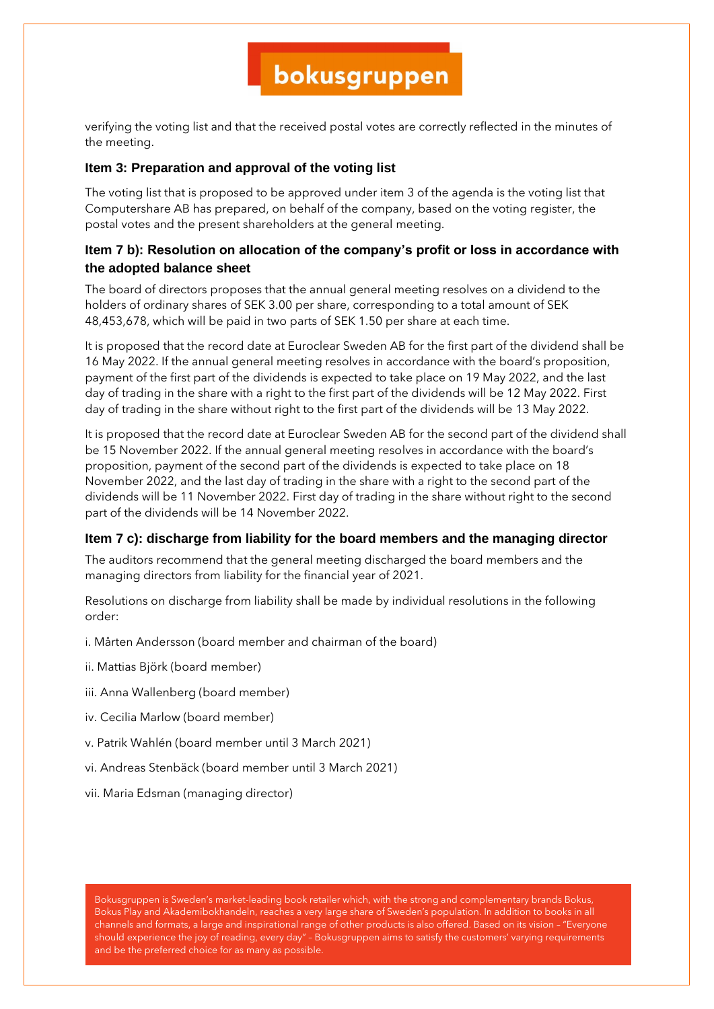verifying the voting list and that the received postal votes are correctly reflected in the minutes of the meeting.

### **Item 3: Preparation and approval of the voting list**

The voting list that is proposed to be approved under item 3 of the agenda is the voting list that Computershare AB has prepared, on behalf of the company, based on the voting register, the postal votes and the present shareholders at the general meeting.

## **Item 7 b): Resolution on allocation of the company's profit or loss in accordance with the adopted balance sheet**

The board of directors proposes that the annual general meeting resolves on a dividend to the holders of ordinary shares of SEK 3.00 per share, corresponding to a total amount of SEK 48,453,678, which will be paid in two parts of SEK 1.50 per share at each time.

It is proposed that the record date at Euroclear Sweden AB for the first part of the dividend shall be 16 May 2022. If the annual general meeting resolves in accordance with the board's proposition, payment of the first part of the dividends is expected to take place on 19 May 2022, and the last day of trading in the share with a right to the first part of the dividends will be 12 May 2022. First day of trading in the share without right to the first part of the dividends will be 13 May 2022.

It is proposed that the record date at Euroclear Sweden AB for the second part of the dividend shall be 15 November 2022. If the annual general meeting resolves in accordance with the board's proposition, payment of the second part of the dividends is expected to take place on 18 November 2022, and the last day of trading in the share with a right to the second part of the dividends will be 11 November 2022. First day of trading in the share without right to the second part of the dividends will be 14 November 2022.

#### **Item 7 c): discharge from liability for the board members and the managing director**

The auditors recommend that the general meeting discharged the board members and the managing directors from liability for the financial year of 2021.

Resolutions on discharge from liability shall be made by individual resolutions in the following order:

- i. Mårten Andersson (board member and chairman of the board)
- ii. Mattias Björk (board member)
- iii. Anna Wallenberg (board member)
- iv. Cecilia Marlow (board member)
- v. Patrik Wahlén (board member until 3 March 2021)
- vi. Andreas Stenbäck (board member until 3 March 2021)
- vii. Maria Edsman (managing director)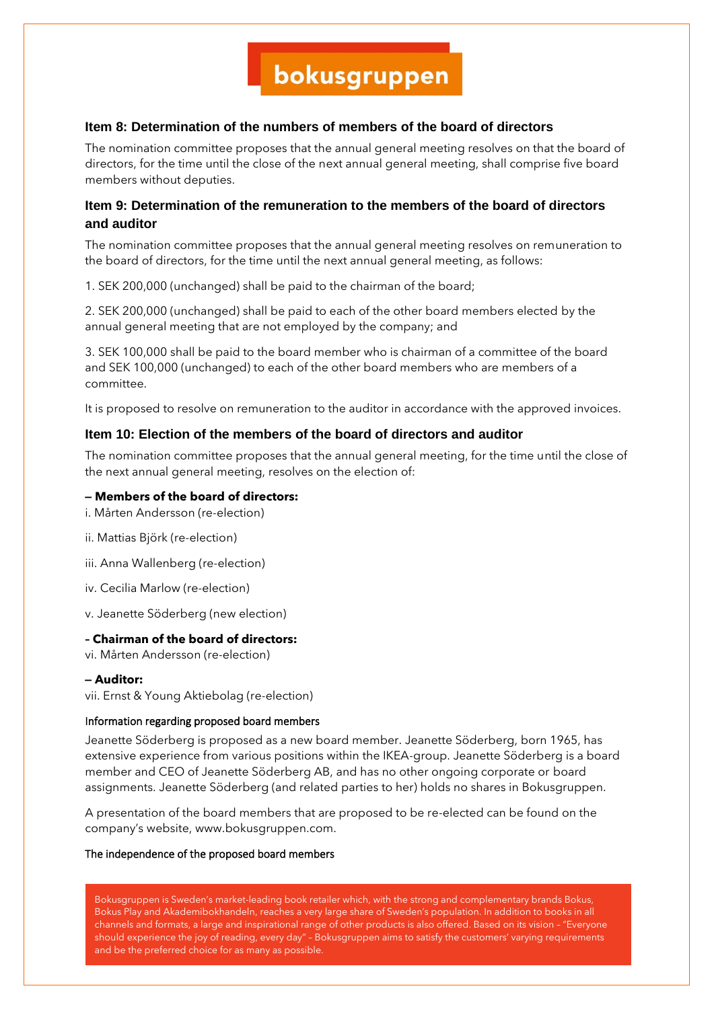## **Item 8: Determination of the numbers of members of the board of directors**

The nomination committee proposes that the annual general meeting resolves on that the board of directors, for the time until the close of the next annual general meeting, shall comprise five board members without deputies.

## **Item 9: Determination of the remuneration to the members of the board of directors and auditor**

The nomination committee proposes that the annual general meeting resolves on remuneration to the board of directors, for the time until the next annual general meeting, as follows:

1. SEK 200,000 (unchanged) shall be paid to the chairman of the board;

2. SEK 200,000 (unchanged) shall be paid to each of the other board members elected by the annual general meeting that are not employed by the company; and

3. SEK 100,000 shall be paid to the board member who is chairman of a committee of the board and SEK 100,000 (unchanged) to each of the other board members who are members of a committee.

It is proposed to resolve on remuneration to the auditor in accordance with the approved invoices.

### **Item 10: Election of the members of the board of directors and auditor**

The nomination committee proposes that the annual general meeting, for the time until the close of the next annual general meeting, resolves on the election of:

#### **– Members of the board of directors:**

- i. Mårten Andersson (re-election)
- ii. Mattias Björk (re-election)
- iii. Anna Wallenberg (re-election)
- iv. Cecilia Marlow (re-election)
- v. Jeanette Söderberg (new election)

#### **– Chairman of the board of directors:**

vi. Mårten Andersson (re-election)

#### **– Auditor:**

vii. Ernst & Young Aktiebolag (re-election)

#### Information regarding proposed board members

Jeanette Söderberg is proposed as a new board member. Jeanette Söderberg, born 1965, has extensive experience from various positions within the IKEA-group. Jeanette Söderberg is a board member and CEO of Jeanette Söderberg AB, and has no other ongoing corporate or board assignments. Jeanette Söderberg (and related parties to her) holds no shares in Bokusgruppen.

A presentation of the board members that are proposed to be re-elected can be found on the company's website, www.bokusgruppen.com.

#### The independence of the proposed board members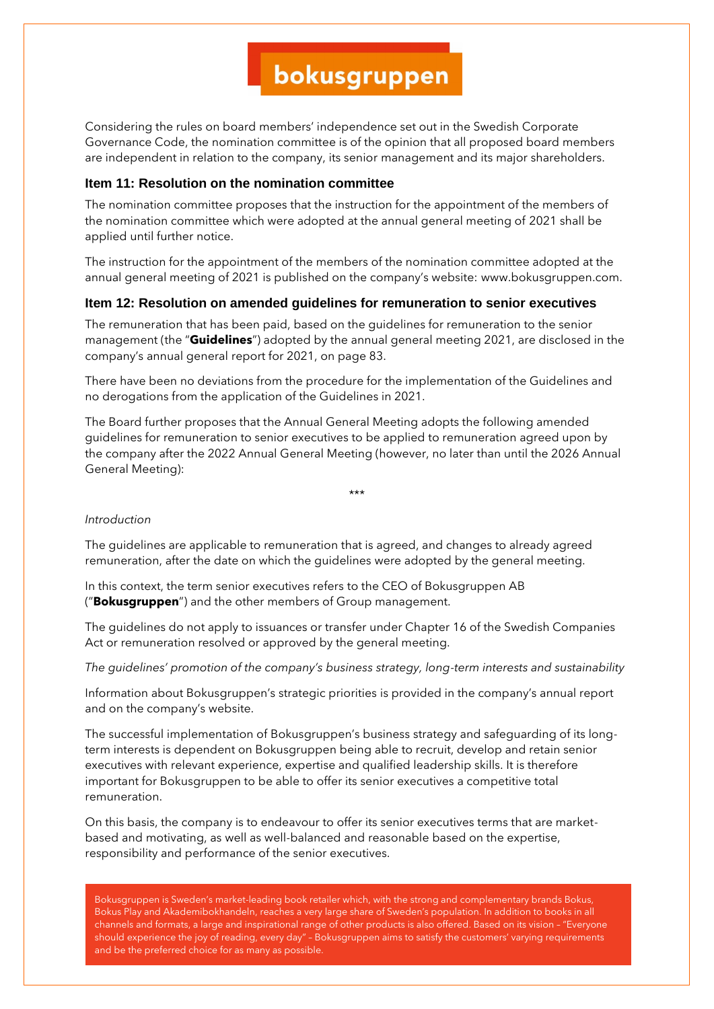Considering the rules on board members' independence set out in the Swedish Corporate Governance Code, the nomination committee is of the opinion that all proposed board members are independent in relation to the company, its senior management and its major shareholders.

#### **Item 11: Resolution on the nomination committee**

The nomination committee proposes that the instruction for the appointment of the members of the nomination committee which were adopted at the annual general meeting of 2021 shall be applied until further notice.

The instruction for the appointment of the members of the nomination committee adopted at the annual general meeting of 2021 is published on the company's website: www.bokusgruppen.com.

#### **Item 12: Resolution on amended guidelines for remuneration to senior executives**

The remuneration that has been paid, based on the guidelines for remuneration to the senior management (the "**Guidelines**") adopted by the annual general meeting 2021, are disclosed in the company's annual general report for 2021, on page 83.

There have been no deviations from the procedure for the implementation of the Guidelines and no derogations from the application of the Guidelines in 2021.

The Board further proposes that the Annual General Meeting adopts the following amended guidelines for remuneration to senior executives to be applied to remuneration agreed upon by the company after the 2022 Annual General Meeting (however, no later than until the 2026 Annual General Meeting):

\*\*\*

#### *Introduction*

The guidelines are applicable to remuneration that is agreed, and changes to already agreed remuneration, after the date on which the guidelines were adopted by the general meeting.

In this context, the term senior executives refers to the CEO of Bokusgruppen AB ("**Bokusgruppen**") and the other members of Group management.

The guidelines do not apply to issuances or transfer under Chapter 16 of the Swedish Companies Act or remuneration resolved or approved by the general meeting.

*The guidelines' promotion of the company's business strategy, long-term interests and sustainability*

Information about Bokusgruppen's strategic priorities is provided in the company's annual report and on the company's website.

The successful implementation of Bokusgruppen's business strategy and safeguarding of its longterm interests is dependent on Bokusgruppen being able to recruit, develop and retain senior executives with relevant experience, expertise and qualified leadership skills. It is therefore important for Bokusgruppen to be able to offer its senior executives a competitive total remuneration.

On this basis, the company is to endeavour to offer its senior executives terms that are marketbased and motivating, as well as well-balanced and reasonable based on the expertise, responsibility and performance of the senior executives.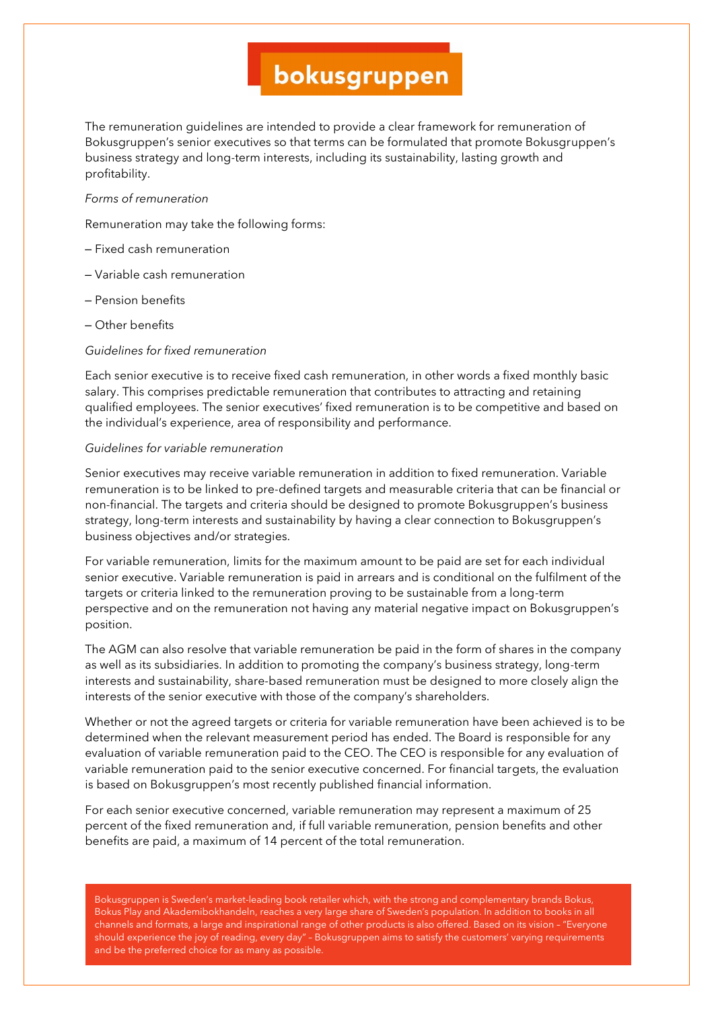The remuneration guidelines are intended to provide a clear framework for remuneration of Bokusgruppen's senior executives so that terms can be formulated that promote Bokusgruppen's business strategy and long-term interests, including its sustainability, lasting growth and profitability.

#### *Forms of remuneration*

Remuneration may take the following forms:

- Fixed cash remuneration
- Variable cash remuneration
- Pension benefits
- Other benefits

#### *Guidelines for fixed remuneration*

Each senior executive is to receive fixed cash remuneration, in other words a fixed monthly basic salary. This comprises predictable remuneration that contributes to attracting and retaining qualified employees. The senior executives' fixed remuneration is to be competitive and based on the individual's experience, area of responsibility and performance.

#### *Guidelines for variable remuneration*

Senior executives may receive variable remuneration in addition to fixed remuneration. Variable remuneration is to be linked to pre-defined targets and measurable criteria that can be financial or non-financial. The targets and criteria should be designed to promote Bokusgruppen's business strategy, long-term interests and sustainability by having a clear connection to Bokusgruppen's business objectives and/or strategies.

For variable remuneration, limits for the maximum amount to be paid are set for each individual senior executive. Variable remuneration is paid in arrears and is conditional on the fulfilment of the targets or criteria linked to the remuneration proving to be sustainable from a long-term perspective and on the remuneration not having any material negative impact on Bokusgruppen's position.

The AGM can also resolve that variable remuneration be paid in the form of shares in the company as well as its subsidiaries. In addition to promoting the company's business strategy, long-term interests and sustainability, share-based remuneration must be designed to more closely align the interests of the senior executive with those of the company's shareholders.

Whether or not the agreed targets or criteria for variable remuneration have been achieved is to be determined when the relevant measurement period has ended. The Board is responsible for any evaluation of variable remuneration paid to the CEO. The CEO is responsible for any evaluation of variable remuneration paid to the senior executive concerned. For financial targets, the evaluation is based on Bokusgruppen's most recently published financial information.

For each senior executive concerned, variable remuneration may represent a maximum of 25 percent of the fixed remuneration and, if full variable remuneration, pension benefits and other benefits are paid, a maximum of 14 percent of the total remuneration.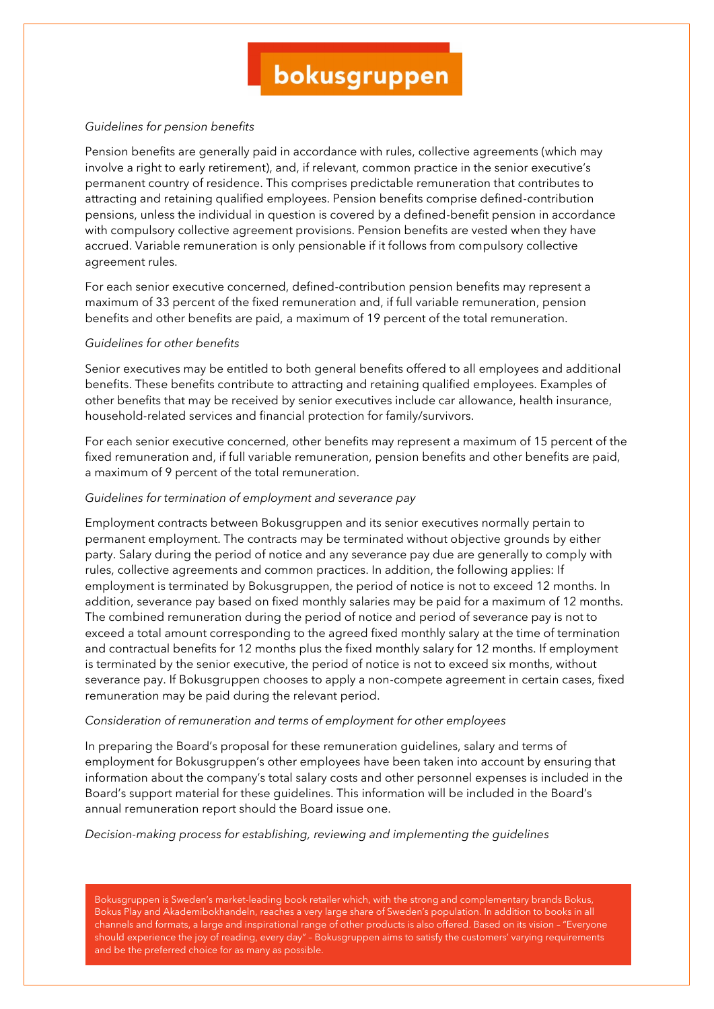#### *Guidelines for pension benefits*

Pension benefits are generally paid in accordance with rules, collective agreements (which may involve a right to early retirement), and, if relevant, common practice in the senior executive's permanent country of residence. This comprises predictable remuneration that contributes to attracting and retaining qualified employees. Pension benefits comprise defined-contribution pensions, unless the individual in question is covered by a defined-benefit pension in accordance with compulsory collective agreement provisions. Pension benefits are vested when they have accrued. Variable remuneration is only pensionable if it follows from compulsory collective agreement rules.

For each senior executive concerned, defined-contribution pension benefits may represent a maximum of 33 percent of the fixed remuneration and, if full variable remuneration, pension benefits and other benefits are paid, a maximum of 19 percent of the total remuneration.

#### *Guidelines for other benefits*

Senior executives may be entitled to both general benefits offered to all employees and additional benefits. These benefits contribute to attracting and retaining qualified employees. Examples of other benefits that may be received by senior executives include car allowance, health insurance, household-related services and financial protection for family/survivors.

For each senior executive concerned, other benefits may represent a maximum of 15 percent of the fixed remuneration and, if full variable remuneration, pension benefits and other benefits are paid, a maximum of 9 percent of the total remuneration.

#### *Guidelines for termination of employment and severance pay*

Employment contracts between Bokusgruppen and its senior executives normally pertain to permanent employment. The contracts may be terminated without objective grounds by either party. Salary during the period of notice and any severance pay due are generally to comply with rules, collective agreements and common practices. In addition, the following applies: If employment is terminated by Bokusgruppen, the period of notice is not to exceed 12 months. In addition, severance pay based on fixed monthly salaries may be paid for a maximum of 12 months. The combined remuneration during the period of notice and period of severance pay is not to exceed a total amount corresponding to the agreed fixed monthly salary at the time of termination and contractual benefits for 12 months plus the fixed monthly salary for 12 months. If employment is terminated by the senior executive, the period of notice is not to exceed six months, without severance pay. If Bokusgruppen chooses to apply a non-compete agreement in certain cases, fixed remuneration may be paid during the relevant period.

#### *Consideration of remuneration and terms of employment for other employees*

In preparing the Board's proposal for these remuneration guidelines, salary and terms of employment for Bokusgruppen's other employees have been taken into account by ensuring that information about the company's total salary costs and other personnel expenses is included in the Board's support material for these guidelines. This information will be included in the Board's annual remuneration report should the Board issue one.

#### *Decision-making process for establishing, reviewing and implementing the guidelines*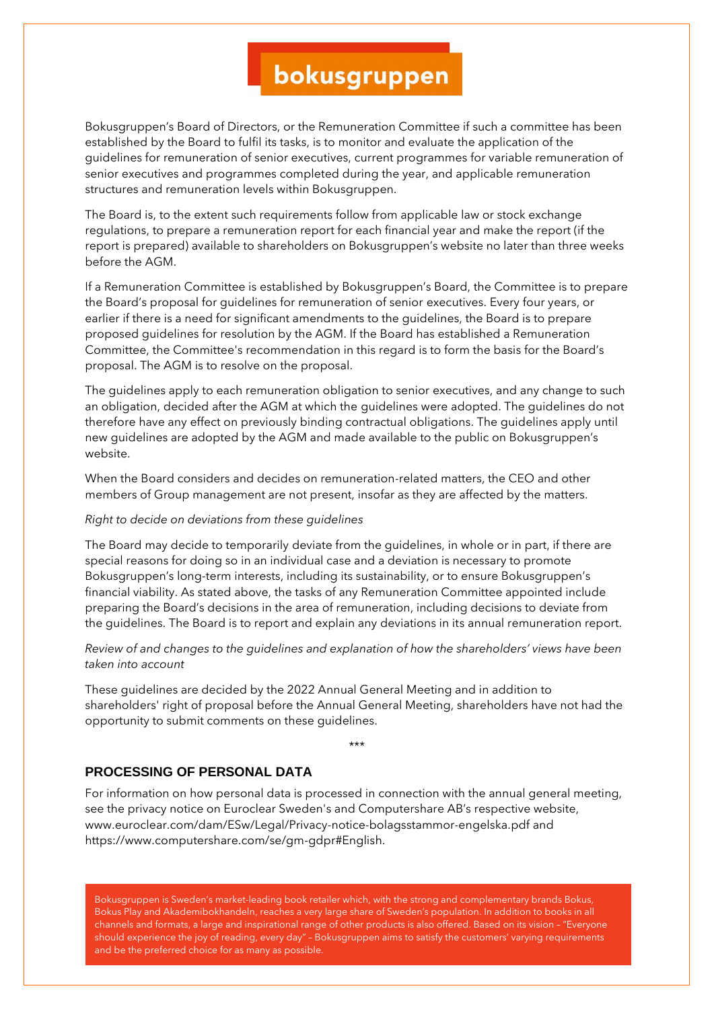Bokusgruppen's Board of Directors, or the Remuneration Committee if such a committee has been established by the Board to fulfil its tasks, is to monitor and evaluate the application of the guidelines for remuneration of senior executives, current programmes for variable remuneration of senior executives and programmes completed during the year, and applicable remuneration structures and remuneration levels within Bokusgruppen.

The Board is, to the extent such requirements follow from applicable law or stock exchange regulations, to prepare a remuneration report for each financial year and make the report (if the report is prepared) available to shareholders on Bokusgruppen's website no later than three weeks before the AGM.

If a Remuneration Committee is established by Bokusgruppen's Board, the Committee is to prepare the Board's proposal for guidelines for remuneration of senior executives. Every four years, or earlier if there is a need for significant amendments to the guidelines, the Board is to prepare proposed guidelines for resolution by the AGM. If the Board has established a Remuneration Committee, the Committee's recommendation in this regard is to form the basis for the Board's proposal. The AGM is to resolve on the proposal.

The guidelines apply to each remuneration obligation to senior executives, and any change to such an obligation, decided after the AGM at which the guidelines were adopted. The guidelines do not therefore have any effect on previously binding contractual obligations. The guidelines apply until new guidelines are adopted by the AGM and made available to the public on Bokusgruppen's website.

When the Board considers and decides on remuneration-related matters, the CEO and other members of Group management are not present, insofar as they are affected by the matters.

#### *Right to decide on deviations from these guidelines*

The Board may decide to temporarily deviate from the guidelines, in whole or in part, if there are special reasons for doing so in an individual case and a deviation is necessary to promote Bokusgruppen's long-term interests, including its sustainability, or to ensure Bokusgruppen's financial viability. As stated above, the tasks of any Remuneration Committee appointed include preparing the Board's decisions in the area of remuneration, including decisions to deviate from the guidelines. The Board is to report and explain any deviations in its annual remuneration report.

*Review of and changes to the guidelines and explanation of how the shareholders' views have been taken into account*

These guidelines are decided by the 2022 Annual General Meeting and in addition to shareholders' right of proposal before the Annual General Meeting, shareholders have not had the opportunity to submit comments on these guidelines.

\*\*\*

## **PROCESSING OF PERSONAL DATA**

For information on how personal data is processed in connection with the annual general meeting, see the privacy notice on Euroclear Sweden's and Computershare AB's respective website, www.euroclear.com/dam/ESw/Legal/Privacy-notice-bolagsstammor-engelska.pdf and https://www.computershare.com/se/gm-gdpr#English.